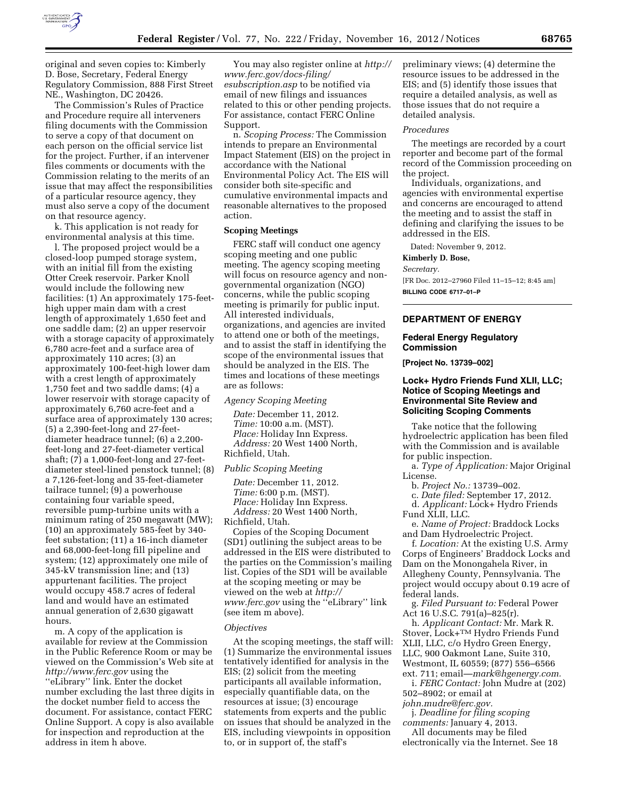

original and seven copies to: Kimberly D. Bose, Secretary, Federal Energy Regulatory Commission, 888 First Street NE., Washington, DC 20426.

The Commission's Rules of Practice and Procedure require all interveners filing documents with the Commission to serve a copy of that document on each person on the official service list for the project. Further, if an intervener files comments or documents with the Commission relating to the merits of an issue that may affect the responsibilities of a particular resource agency, they must also serve a copy of the document on that resource agency.

k. This application is not ready for environmental analysis at this time.

l. The proposed project would be a closed-loop pumped storage system, with an initial fill from the existing Otter Creek reservoir. Parker Knoll would include the following new facilities: (1) An approximately 175-feethigh upper main dam with a crest length of approximately 1,650 feet and one saddle dam; (2) an upper reservoir with a storage capacity of approximately 6,780 acre-feet and a surface area of approximately 110 acres; (3) an approximately 100-feet-high lower dam with a crest length of approximately 1,750 feet and two saddle dams; (4) a lower reservoir with storage capacity of approximately 6,760 acre-feet and a surface area of approximately 130 acres; (5) a 2,390-feet-long and 27-feetdiameter headrace tunnel; (6) a 2,200 feet-long and 27-feet-diameter vertical shaft; (7) a 1,000-feet-long and 27-feetdiameter steel-lined penstock tunnel; (8) a 7,126-feet-long and 35-feet-diameter tailrace tunnel; (9) a powerhouse containing four variable speed, reversible pump-turbine units with a minimum rating of 250 megawatt (MW); (10) an approximately 585-feet by 340 feet substation; (11) a 16-inch diameter and 68,000-feet-long fill pipeline and system; (12) approximately one mile of 345-kV transmission line; and (13) appurtenant facilities. The project would occupy 458.7 acres of federal land and would have an estimated annual generation of 2,630 gigawatt hours.

m. A copy of the application is available for review at the Commission in the Public Reference Room or may be viewed on the Commission's Web site at *<http://www.ferc.gov>*using the ''eLibrary'' link. Enter the docket number excluding the last three digits in the docket number field to access the document. For assistance, contact FERC Online Support. A copy is also available for inspection and reproduction at the address in item h above.

You may also register online at *[http://](http://www.ferc.gov/docs-filing/esubscription.asp)  [www.ferc.gov/docs-filing/](http://www.ferc.gov/docs-filing/esubscription.asp)  [esubscription.asp](http://www.ferc.gov/docs-filing/esubscription.asp)* to be notified via email of new filings and issuances related to this or other pending projects. For assistance, contact FERC Online Support.

n. *Scoping Process:* The Commission intends to prepare an Environmental Impact Statement (EIS) on the project in accordance with the National Environmental Policy Act. The EIS will consider both site-specific and cumulative environmental impacts and reasonable alternatives to the proposed action.

# **Scoping Meetings**

FERC staff will conduct one agency scoping meeting and one public meeting. The agency scoping meeting will focus on resource agency and nongovernmental organization (NGO) concerns, while the public scoping meeting is primarily for public input. All interested individuals, organizations, and agencies are invited to attend one or both of the meetings, and to assist the staff in identifying the scope of the environmental issues that should be analyzed in the EIS. The times and locations of these meetings are as follows:

*Agency Scoping Meeting* 

*Date:* December 11, 2012. *Time:* 10:00 a.m. (MST). *Place:* Holiday Inn Express. *Address:* 20 West 1400 North, Richfield, Utah.

*Public Scoping Meeting* 

*Date:* December 11, 2012. *Time:* 6:00 p.m. (MST). *Place:* Holiday Inn Express. *Address:* 20 West 1400 North, Richfield, Utah.

Copies of the Scoping Document (SD1) outlining the subject areas to be addressed in the EIS were distributed to the parties on the Commission's mailing list. Copies of the SD1 will be available at the scoping meeting or may be viewed on the web at *[http://](http://www.ferc.gov)  [www.ferc.gov](http://www.ferc.gov)* using the ''eLibrary'' link (see item m above).

### *Objectives*

At the scoping meetings, the staff will: (1) Summarize the environmental issues tentatively identified for analysis in the EIS; (2) solicit from the meeting participants all available information, especially quantifiable data, on the resources at issue; (3) encourage statements from experts and the public on issues that should be analyzed in the EIS, including viewpoints in opposition to, or in support of, the staff's

preliminary views; (4) determine the resource issues to be addressed in the EIS; and (5) identify those issues that require a detailed analysis, as well as those issues that do not require a detailed analysis.

### *Procedures*

The meetings are recorded by a court reporter and become part of the formal record of the Commission proceeding on the project.

Individuals, organizations, and agencies with environmental expertise and concerns are encouraged to attend the meeting and to assist the staff in defining and clarifying the issues to be addressed in the EIS.

Dated: November 9, 2012.

### **Kimberly D. Bose,**

*Secretary.* 

[FR Doc. 2012–27960 Filed 11–15–12; 8:45 am] **BILLING CODE 6717–01–P** 

### **DEPARTMENT OF ENERGY**

# **Federal Energy Regulatory Commission**

**[Project No. 13739–002]** 

# **Lock+ Hydro Friends Fund XLII, LLC; Notice of Scoping Meetings and Environmental Site Review and Soliciting Scoping Comments**

Take notice that the following hydroelectric application has been filed with the Commission and is available for public inspection.

a. *Type of Application:* Major Original License.

b. *Project No.:* 13739–002.

c. *Date filed:* September 17, 2012.

d. *Applicant:* Lock+ Hydro Friends Fund XLII, LLC.

e. *Name of Project:* Braddock Locks and Dam Hydroelectric Project.

f. *Location:* At the existing U.S. Army Corps of Engineers' Braddock Locks and Dam on the Monongahela River, in Allegheny County, Pennsylvania. The project would occupy about 0.19 acre of federal lands.

g. *Filed Pursuant to:* Federal Power Act 16 U.S.C. 791(a)–825(r).

h. *Applicant Contact:* Mr. Mark R. Stover, Lock+TM Hydro Friends Fund XLII, LLC, c/o Hydro Green Energy, LLC, 900 Oakmont Lane, Suite 310, Westmont, IL 60559; (877) 556–6566 ext. 711; email—*[mark@hgenergy.com.](mailto:mark@hgenergy.com)* 

i. *FERC Contact:* John Mudre at (202) 502–8902; or email at

*[john.mudre@ferc.gov.](mailto:john.mudre@ferc.gov)* 

j. *Deadline for filing scoping comments:* January 4, 2013.

All documents may be filed

electronically via the Internet. See 18